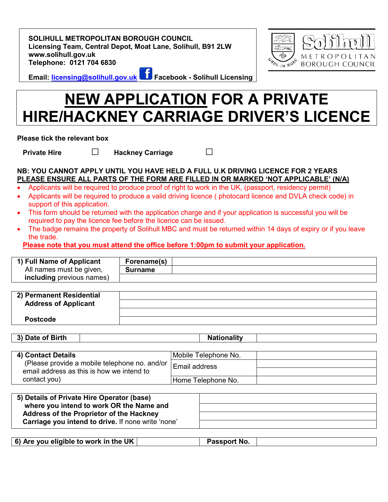**SOLIHULL METROPOLITAN BOROUGH COUNCIL Licensing Team, Central Depot, Moat Lane, Solihull, B91 2LW www.solihull.gov.uk Telephone: 0121 704 6830**

METROPOLITAN SS-IN RUPS **BOROUGH COUNCIL** 

**Email: [licensing@solihull.gov.uk](mailto:licensing@solihull.gov.uk) Facebook - Solihull Licensing**

# **NEW APPLICATION FOR A PRIVATE HIRE/HACKNEY CARRIAGE DRIVER'S LICENCE**

**Please tick the relevant box** 

**Private Hire □ Hackney Carriage** □

# **NB: YOU CANNOT APPLY UNTIL YOU HAVE HELD A FULL U.K DRIVING LICENCE FOR 2 YEARS PLEASE ENSURE ALL PARTS OF THE FORM ARE FILLED IN OR MARKED 'NOT APPLICABLE' (N/A)**

- Applicants will be required to produce proof of right to work in the UK, (passport, residency permit)
- Applicants will be required to produce a valid driving licence ( photocard licence and DVLA check code) in support of this application.
- This form should be returned with the application charge and if your application is successful you will be required to pay the licence fee before the licence can be issued.
- The badge remains the property of Solihull MBC and must be returned within 14 days of expiry or if you leave the trade.

**Please note that you must attend the office before 1:00pm to submit your application.**

| 1) Full Name of Applicant        | Forename(s)    |  |
|----------------------------------|----------------|--|
| All names must be given,         | <b>Surname</b> |  |
| <b>including</b> previous names) |                |  |

| 2) Permanent Residential    |  |
|-----------------------------|--|
| <b>Address of Applicant</b> |  |
|                             |  |
| <b>Postcode</b>             |  |

| of Birth<br>$\sim$<br>.nta<br>Dale<br> | .<br> |  |
|----------------------------------------|-------|--|
|                                        |       |  |

| 4) Contact Details                                                 | Mobile Telephone No. |  |
|--------------------------------------------------------------------|----------------------|--|
| (Please provide a mobile telephone no. and/or $\mid$ Email address |                      |  |
| email address as this is how we intend to                          |                      |  |
| contact you)                                                       | Home Telephone No.   |  |

| 5) Details of Private Hire Operator (base)         |  |
|----------------------------------------------------|--|
| where you intend to work OR the Name and           |  |
| Address of the Proprietor of the Hackney           |  |
| Carriage you intend to drive. If none write 'none' |  |

| 6) Are you eligible to work in the UK $\vert$<br>Passport No. |
|---------------------------------------------------------------|
|---------------------------------------------------------------|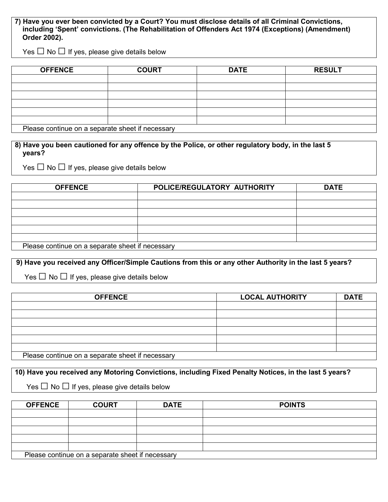**7) Have you ever been convicted by a Court? You must disclose details of all Criminal Convictions, including 'Spent' convictions. (The Rehabilitation of Offenders Act 1974 (Exceptions) (Amendment) Order 2002).**

Yes  $\Box$  No  $\Box$  If yes, please give details below

| <b>OFFENCE</b>                                   | <b>COURT</b> | <b>DATE</b> | <b>RESULT</b> |
|--------------------------------------------------|--------------|-------------|---------------|
|                                                  |              |             |               |
|                                                  |              |             |               |
|                                                  |              |             |               |
|                                                  |              |             |               |
|                                                  |              |             |               |
|                                                  |              |             |               |
| Please continue on a separate sheet if necessary |              |             |               |

 **8) Have you been cautioned for any offence by the Police, or other regulatory body, in the last 5 years?**

Yes  $\Box$  No  $\Box$  If yes, please give details below

| <b>OFFENCE</b>                                   | POLICE/REGULATORY AUTHORITY | <b>DATE</b> |  |
|--------------------------------------------------|-----------------------------|-------------|--|
|                                                  |                             |             |  |
|                                                  |                             |             |  |
|                                                  |                             |             |  |
|                                                  |                             |             |  |
|                                                  |                             |             |  |
|                                                  |                             |             |  |
| Please continue on a separate sheet if necessary |                             |             |  |

**9) Have you received any Officer/Simple Cautions from this or any other Authority in the last 5 years?**

Yes  $\Box$  No  $\Box$  If yes, please give details below

| <b>OFFENCE</b>                                   | <b>LOCAL AUTHORITY</b> | <b>DATE</b> |
|--------------------------------------------------|------------------------|-------------|
|                                                  |                        |             |
|                                                  |                        |             |
|                                                  |                        |             |
|                                                  |                        |             |
|                                                  |                        |             |
|                                                  |                        |             |
| Please continue on a separate sheet if necessary |                        |             |

**10) Have you received any Motoring Convictions, including Fixed Penalty Notices, in the last 5 years?** 

 $\mathsf{Yes} \ \Box \ \mathsf{No} \ \Box \ \mathsf{If} \ \mathsf{yes}, \ \mathsf{please} \ \mathsf{give} \ \mathsf{details} \ \mathsf{below}$ 

| <b>OFFENCE</b>                                   | <b>COURT</b> | <b>DATE</b> | <b>POINTS</b> |
|--------------------------------------------------|--------------|-------------|---------------|
|                                                  |              |             |               |
|                                                  |              |             |               |
|                                                  |              |             |               |
|                                                  |              |             |               |
|                                                  |              |             |               |
| Please continue on a separate sheet if necessary |              |             |               |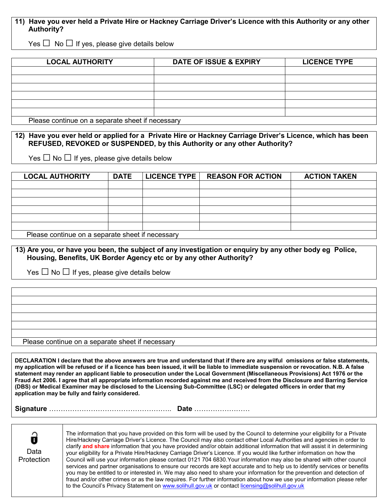# **11) Have you ever held a Private Hire or Hackney Carriage Driver's Licence with this Authority or any other Authority?**

Yes  $\Box$  No  $\Box$  If yes, please give details below

| <b>LOCAL AUTHORITY</b>                           | <b>DATE OF ISSUE &amp; EXPIRY</b> | <b>LICENCE TYPE</b> |
|--------------------------------------------------|-----------------------------------|---------------------|
|                                                  |                                   |                     |
|                                                  |                                   |                     |
|                                                  |                                   |                     |
|                                                  |                                   |                     |
|                                                  |                                   |                     |
|                                                  |                                   |                     |
| Please continue on a separate sheet if necessary |                                   |                     |

 **12) Have you ever held or applied for a Private Hire or Hackney Carriage Driver's Licence, which has been REFUSED, REVOKED or SUSPENDED, by this Authority or any other Authority?**

Yes  $\Box$  No  $\Box$  If yes, please give details below

| <b>LOCAL AUTHORITY</b>                           | <b>DATE</b> | <b>LICENCE TYPE  </b> | <b>REASON FOR ACTION</b> | <b>ACTION TAKEN</b> |
|--------------------------------------------------|-------------|-----------------------|--------------------------|---------------------|
|                                                  |             |                       |                          |                     |
|                                                  |             |                       |                          |                     |
|                                                  |             |                       |                          |                     |
|                                                  |             |                       |                          |                     |
|                                                  |             |                       |                          |                     |
|                                                  |             |                       |                          |                     |
| Please continue on a separate sheet if necessary |             |                       |                          |                     |

 **13) Are you, or have you been, the subject of any investigation or enquiry by any other body eg Police, Housing, Benefits, UK Border Agency etc or by any other Authority?**

Yes  $\Box$  No  $\Box$  If yes, please give details below

#### Please continue on a separate sheet if necessary

**DECLARATION I declare that the above answers are true and understand that if there are any wilful omissions or false statements, my application will be refused or if a licence has been issued, it will be liable to immediate suspension or revocation. N.B. A false statement may render an applicant liable to prosecution under the Local Government (Miscellaneous Provisions) Act 1976 or the Fraud Act 2006. I agree that all appropriate information recorded against me and received from the Disclosure and Barring Service (DBS) or Medical Examiner may be disclosed to the Licensing Sub-Committee (LSC) or delegated officers in order that my application may be fully and fairly considered.**

 **Signature** …………………………………………….. **Date** ……………………

Data **Protection**  The information that you have provided on this form will be used by the Council to determine your eligibility for a Private Hire/Hackney Carriage Driver's Licence. The Council may also contact other Local Authorities and agencies in order to clarify **and share** information that you have provided and/or obtain additional information that will assist it in determining your eligibility for a Private Hire/Hackney Carriage Driver's Licence. If you would like further information on how the Council will use your information please contact 0121 704 6830.Your information may also be shared with other council services and partner organisations to ensure our records are kept accurate and to help us to identify services or benefits you may be entitled to or interested in. We may also need to share your information for the prevention and detection of fraud and/or other crimes or as the law requires. For further information about how we use your information please refer to the Council's Privacy Statement o[n www.solihull.gov.uk](http://www.solihull.gov.uk/) or contac[t licensing@solihull.gov.uk](licensing@solihull.gov.uk%20)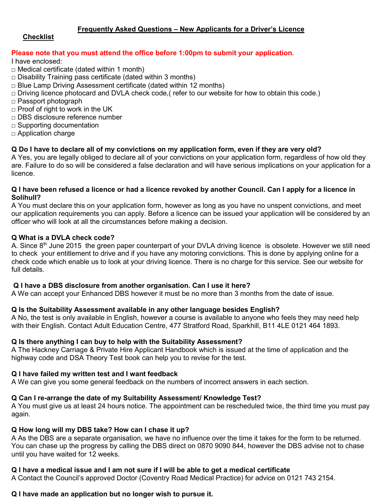# **Frequently Asked Questions – New Applicants for a Driver's Licence**

# **Checklist**

# **Please note that you must attend the office before 1:00pm to submit your application.**

I have enclosed:

- $\Box$  Medical certificate (dated within 1 month)
- $\Box$  Disability Training pass certificate (dated within 3 months)
- $\Box$  Blue Lamp Driving Assessment certificate (dated within 12 months)
- □ Driving licence photocard and DVLA check code, refer to our website for how to obtain this code.)
- □ Passport photograph
- □ Proof of right to work in the UK
- $\neg$  DBS disclosure reference number
- $\Box$  Supporting documentation
- □ Application charge

# **Q Do I have to declare all of my convictions on my application form, even if they are very old?**

A Yes, you are legally obliged to declare all of your convictions on your application form, regardless of how old they are. Failure to do so will be considered a false declaration and will have serious implications on your application for a licence.

### **Q I have been refused a licence or had a licence revoked by another Council. Can I apply for a licence in Solihull?**

A You must declare this on your application form, however as long as you have no unspent convictions, and meet our application requirements you can apply. Before a licence can be issued your application will be considered by an officer who will look at all the circumstances before making a decision.

## **Q What is a DVLA check code?**

A. Since 8<sup>th</sup> June 2015 the green paper counterpart of your DVLA driving licence is obsolete. However we still need to check your entitlement to drive and if you have any motoring convictions. This is done by applying online for a check code which enable us to look at your driving licence. There is no charge for this service. See our website for full details.

### **Q I have a DBS disclosure from another organisation. Can I use it here?**

A We can accept your Enhanced DBS however it must be no more than 3 months from the date of issue.

# **Q Is the Suitability Assessment available in any other language besides English?**

A No, the test is only available in English, however a course is available to anyone who feels they may need help with their English. Contact Adult Education Centre, 477 Stratford Road, Sparkhill, B11 4LE 0121 464 1893.

### **Q Is there anything I can buy to help with the Suitability Assessment?**

A The Hackney Carriage & Private Hire Applicant Handbook which is issued at the time of application and the highway code and DSA Theory Test book can help you to revise for the test.

### **Q I have failed my written test and I want feedback**

A We can give you some general feedback on the numbers of incorrect answers in each section.

### **Q Can I re-arrange the date of my Suitability Assessment/ Knowledge Test?**

A You must give us at least 24 hours notice. The appointment can be rescheduled twice, the third time you must pay again.

### **Q How long will my DBS take? How can I chase it up?**

A As the DBS are a separate organisation, we have no influence over the time it takes for the form to be returned. You can chase up the progress by calling the DBS direct on 0870 9090 844, however the DBS advise not to chase until you have waited for 12 weeks.

# **Q I have a medical issue and I am not sure if I will be able to get a medical certificate**

A Contact the Council's approved Doctor (Coventry Road Medical Practice) for advice on 0121 743 2154.

# **Q I have made an application but no longer wish to pursue it.**